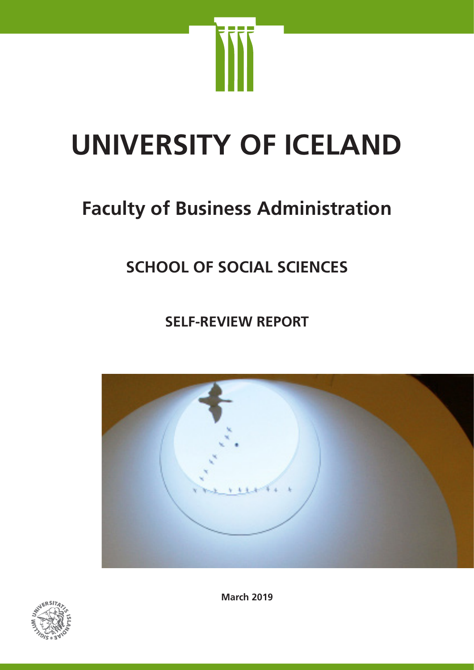

# **UNIVERSITY OF ICELAND**

# **Faculty of Business Administration**

# **SCHOOL OF SOCIAL SCIENCES**

**SELF-REVIEW REPORT**





**March 2019**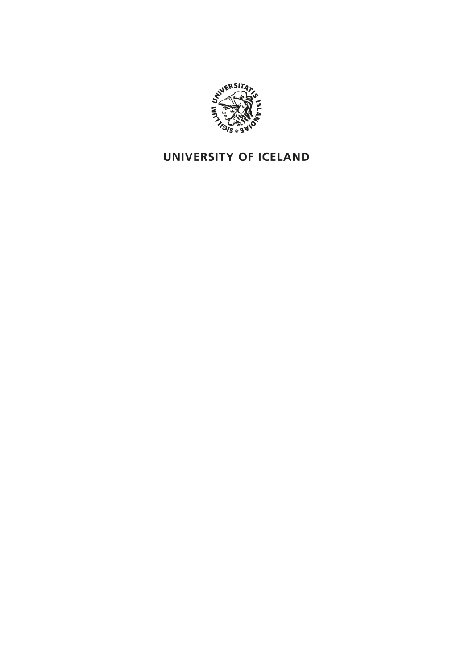

## UNIVERSITY OF ICELAND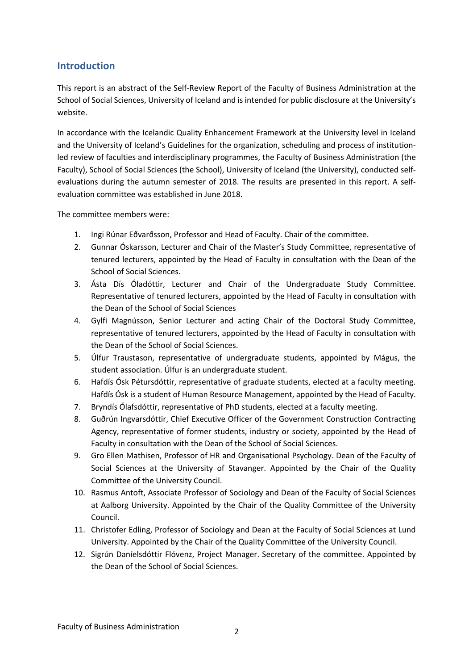#### **Introduction**

This report is an abstract of the Self-Review Report of the Faculty of Business Administration at the School of Social Sciences, University of Iceland and is intended for public disclosure at the University's website.

In accordance with the Icelandic Quality Enhancement Framework at the University level in Iceland and the University of Iceland's Guidelines for the organization, scheduling and process of institutionled review of faculties and interdisciplinary programmes, the Faculty of Business Administration (the Faculty), School of Social Sciences (the School), University of Iceland (the University), conducted selfevaluations during the autumn semester of 2018. The results are presented in this report. A selfevaluation committee was established in June 2018.

The committee members were:

- 1. Ingi Rúnar Eðvarðsson, Professor and Head of Faculty. Chair of the committee.
- 2. Gunnar Óskarsson, Lecturer and Chair of the Master's Study Committee, representative of tenured lecturers, appointed by the Head of Faculty in consultation with the Dean of the School of Social Sciences.
- 3. Ásta Dís Óladóttir, Lecturer and Chair of the Undergraduate Study Committee. Representative of tenured lecturers, appointed by the Head of Faculty in consultation with the Dean of the School of Social Sciences
- 4. Gylfi Magnússon, Senior Lecturer and acting Chair of the Doctoral Study Committee, representative of tenured lecturers, appointed by the Head of Faculty in consultation with the Dean of the School of Social Sciences.
- 5. Úlfur Traustason, representative of undergraduate students, appointed by Mágus, the student association. Úlfur is an undergraduate student.
- 6. Hafdís Ósk Pétursdóttir, representative of graduate students, elected at a faculty meeting. Hafdís Ósk is a student of Human Resource Management, appointed by the Head of Faculty.
- 7. Bryndís Ólafsdóttir, representative of PhD students, elected at a faculty meeting.
- 8. Guðrún Ingvarsdóttir, Chief Executive Officer of the Government Construction Contracting Agency, representative of former students, industry or society, appointed by the Head of Faculty in consultation with the Dean of the School of Social Sciences.
- 9. Gro Ellen Mathisen, Professor of HR and Organisational Psychology. Dean of the Faculty of Social Sciences at the University of Stavanger. Appointed by the Chair of the Quality Committee of the University Council.
- 10. Rasmus Antoft, Associate Professor of Sociology and Dean of the Faculty of Social Sciences at Aalborg University. Appointed by the Chair of the Quality Committee of the University Council.
- 11. Christofer Edling, Professor of Sociology and Dean at the Faculty of Social Sciences at Lund University. Appointed by the Chair of the Quality Committee of the University Council.
- 12. Sigrún Daníelsdóttir Flóvenz, Project Manager. Secretary of the committee. Appointed by the Dean of the School of Social Sciences.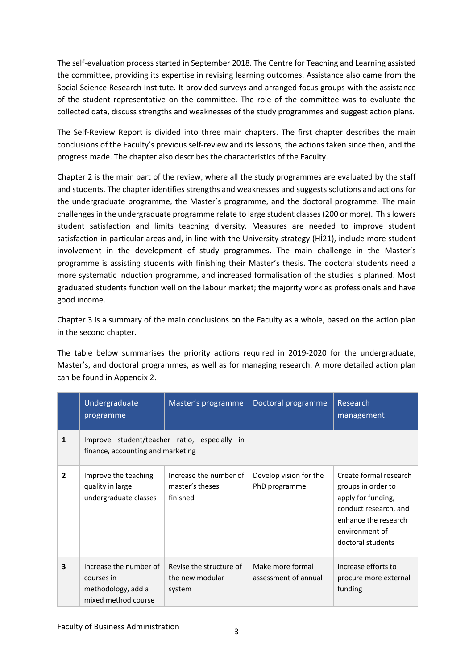The self-evaluation process started in September 2018. The Centre for Teaching and Learning assisted the committee, providing its expertise in revising learning outcomes. Assistance also came from the Social Science Research Institute. It provided surveys and arranged focus groups with the assistance of the student representative on the committee. The role of the committee was to evaluate the collected data, discuss strengths and weaknesses of the study programmes and suggest action plans.

The Self-Review Report is divided into three main chapters. The first chapter describes the main conclusions of the Faculty's previous self-review and its lessons, the actions taken since then, and the progress made. The chapter also describes the characteristics of the Faculty.

Chapter 2 is the main part of the review, where all the study programmes are evaluated by the staff and students. The chapter identifies strengths and weaknesses and suggests solutions and actions for the undergraduate programme, the Master´s programme, and the doctoral programme. The main challengesin the undergraduate programme relate to large student classes (200 or more). This lowers student satisfaction and limits teaching diversity. Measures are needed to improve student satisfaction in particular areas and, in line with the University strategy (HÍ21), include more student involvement in the development of study programmes. The main challenge in the Master's programme is assisting students with finishing their Master's thesis. The doctoral students need a more systematic induction programme, and increased formalisation of the studies is planned. Most graduated students function well on the labour market; the majority work as professionals and have good income.

Chapter 3 is a summary of the main conclusions on the Faculty as a whole, based on the action plan in the second chapter.

The table below summarises the priority actions required in 2019-2020 for the undergraduate, Master's, and doctoral programmes, as well as for managing research. A more detailed action plan can be found in Appendix 2.

|                         | Undergraduate<br>programme                                                        | Master's programme                                    | Doctoral programme                       | Research<br>management                                                                                                                                     |
|-------------------------|-----------------------------------------------------------------------------------|-------------------------------------------------------|------------------------------------------|------------------------------------------------------------------------------------------------------------------------------------------------------------|
| 1                       | finance, accounting and marketing                                                 | Improve student/teacher ratio, especially in          |                                          |                                                                                                                                                            |
| $\overline{2}$          | Improve the teaching<br>quality in large<br>undergraduate classes                 | Increase the number of<br>master's theses<br>finished | Develop vision for the<br>PhD programme  | Create formal research<br>groups in order to<br>apply for funding,<br>conduct research, and<br>enhance the research<br>environment of<br>doctoral students |
| $\overline{\mathbf{3}}$ | Increase the number of<br>courses in<br>methodology, add a<br>mixed method course | Revise the structure of<br>the new modular<br>system  | Make more formal<br>assessment of annual | Increase efforts to<br>procure more external<br>funding                                                                                                    |

Faculty of Business Administration 3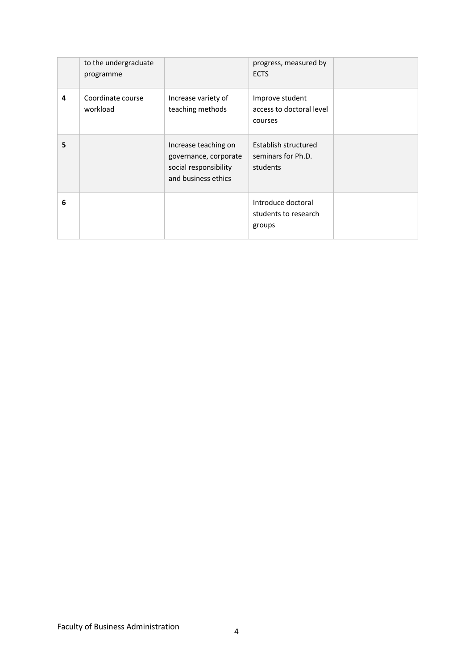|   | to the undergraduate<br>programme |                                                                                               | progress, measured by<br><b>ECTS</b>                   |  |
|---|-----------------------------------|-----------------------------------------------------------------------------------------------|--------------------------------------------------------|--|
| 4 | Coordinate course<br>workload     | Increase variety of<br>teaching methods                                                       | Improve student<br>access to doctoral level<br>courses |  |
| 5 |                                   | Increase teaching on<br>governance, corporate<br>social responsibility<br>and business ethics | Establish structured<br>seminars for Ph.D.<br>students |  |
| 6 |                                   |                                                                                               | Introduce doctoral<br>students to research<br>groups   |  |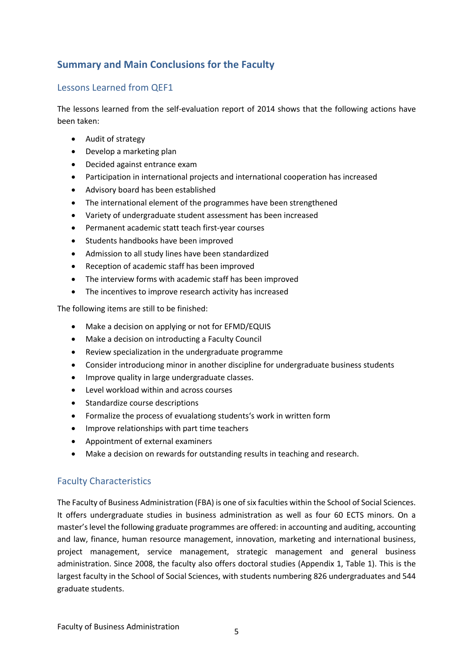#### **Summary and Main Conclusions for the Faculty**

#### Lessons Learned from QEF1

The lessons learned from the self-evaluation report of 2014 shows that the following actions have been taken:

- Audit of strategy
- Develop a marketing plan
- Decided against entrance exam
- Participation in international projects and international cooperation has increased
- Advisory board has been established
- The international element of the programmes have been strengthened
- Variety of undergraduate student assessment has been increased
- Permanent academic statt teach first-year courses
- Students handbooks have been improved
- Admission to all study lines have been standardized
- Reception of academic staff has been improved
- The interview forms with academic staff has been improved
- The incentives to improve research activity has increased

The following items are still to be finished:

- Make a decision on applying or not for EFMD/EQUIS
- Make a decision on introducting a Faculty Council
- Review specialization in the undergraduate programme
- Consider introduciong minor in another discipline for undergraduate business students
- Improve quality in large undergraduate classes.
- Level workload within and across courses
- Standardize course descriptions
- Formalize the process of evualationg students's work in written form
- Improve relationships with part time teachers
- Appointment of external examiners
- Make a decision on rewards for outstanding results in teaching and research.

#### Faculty Characteristics

The Faculty of Business Administration (FBA) is one of six faculties within the School of Social Sciences. It offers undergraduate studies in business administration as well as four 60 ECTS minors. On a master's level the following graduate programmes are offered: in accounting and auditing, accounting and law, finance, human resource management, innovation, marketing and international business, project management, service management, strategic management and general business administration. Since 2008, the faculty also offers doctoral studies (Appendix 1, Table 1). This is the largest faculty in the School of Social Sciences, with students numbering 826 undergraduates and 544 graduate students.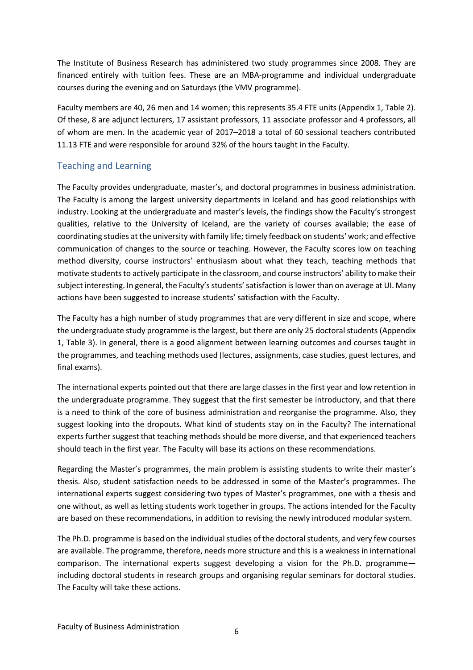The Institute of Business Research has administered two study programmes since 2008. They are financed entirely with tuition fees. These are an MBA-programme and individual undergraduate courses during the evening and on Saturdays (the VMV programme).

Faculty members are 40, 26 men and 14 women; this represents 35.4 FTE units (Appendix 1, Table 2). Of these, 8 are adjunct lecturers, 17 assistant professors, 11 associate professor and 4 professors, all of whom are men. In the academic year of 2017–2018 a total of 60 sessional teachers contributed 11.13 FTE and were responsible for around 32% of the hours taught in the Faculty.

#### Teaching and Learning

The Faculty provides undergraduate, master's, and doctoral programmes in business administration. The Faculty is among the largest university departments in Iceland and has good relationships with industry. Looking at the undergraduate and master's levels, the findings show the Faculty's strongest qualities, relative to the University of Iceland, are the variety of courses available; the ease of coordinating studies at the university with family life; timely feedback on students' work; and effective communication of changes to the source or teaching. However, the Faculty scores low on teaching method diversity, course instructors' enthusiasm about what they teach, teaching methods that motivate students to actively participate in the classroom, and course instructors' ability to make their subject interesting. In general, the Faculty's students' satisfaction is lower than on average at UI. Many actions have been suggested to increase students' satisfaction with the Faculty.

The Faculty has a high number of study programmes that are very different in size and scope, where the undergraduate study programme is the largest, but there are only 25 doctoral students (Appendix 1, Table 3). In general, there is a good alignment between learning outcomes and courses taught in the programmes, and teaching methods used (lectures, assignments, case studies, guest lectures, and final exams).

The international experts pointed out that there are large classes in the first year and low retention in the undergraduate programme. They suggest that the first semester be introductory, and that there is a need to think of the core of business administration and reorganise the programme. Also, they suggest looking into the dropouts. What kind of students stay on in the Faculty? The international experts further suggest that teaching methods should be more diverse, and that experienced teachers should teach in the first year. The Faculty will base its actions on these recommendations.

Regarding the Master's programmes, the main problem is assisting students to write their master's thesis. Also, student satisfaction needs to be addressed in some of the Master's programmes. The international experts suggest considering two types of Master's programmes, one with a thesis and one without, as well as letting students work together in groups. The actions intended for the Faculty are based on these recommendations, in addition to revising the newly introduced modular system.

The Ph.D. programme is based on the individual studies of the doctoral students, and very few courses are available. The programme, therefore, needs more structure and thisis a weakness in international comparison. The international experts suggest developing a vision for the Ph.D. programme including doctoral students in research groups and organising regular seminars for doctoral studies. The Faculty will take these actions.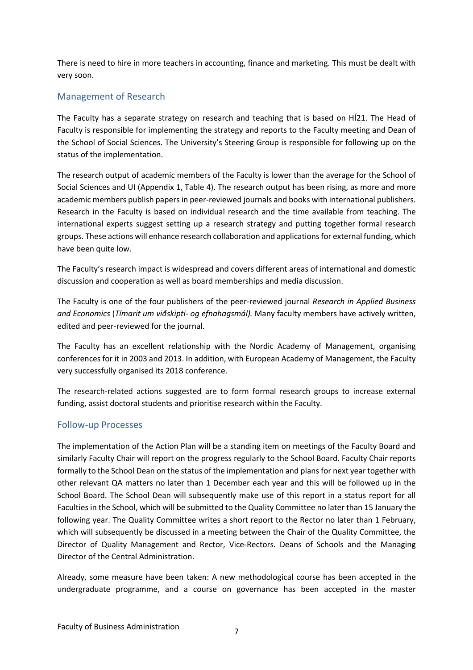There is need to hire in more teachers in accounting, finance and marketing. This must be dealt with very soon.

#### Management of Research

The Faculty has a separate strategy on research and teaching that is based on HÍ21. The Head of Faculty is responsible for implementing the strategy and reports to the Faculty meeting and Dean of the School of Social Sciences. The University's Steering Group is responsible for following up on the status of the implementation.

The research output of academic members of the Faculty is lower than the average for the School of Social Sciences and UI (Appendix 1, Table 4). The research output has been rising, as more and more academic members publish papers in peer-reviewed journals and books with international publishers. Research in the Faculty is based on individual research and the time available from teaching. The international experts suggest setting up a research strategy and putting together formal research groups. These actions will enhance research collaboration and applications for external funding, which have been quite low.

The Faculty's research impact is widespread and covers different areas of international and domestic discussion and cooperation as well as board memberships and media discussion.

The Faculty is one of the four publishers of the peer-reviewed journal *Research in Applied Business and Economics* (*Tímarit um viðskipti- og efnahagsmál).* Many faculty members have actively written, edited and peer-reviewed for the journal.

The Faculty has an excellent relationship with the Nordic Academy of Management, organising conferences for it in 2003 and 2013. In addition, with European Academy of Management, the Faculty very successfully organised its 2018 conference.

The research-related actions suggested are to form formal research groups to increase external funding, assist doctoral students and prioritise research within the Faculty.

#### Follow-up Processes

The implementation of the Action Plan will be a standing item on meetings of the Faculty Board and similarly Faculty Chair will report on the progress regularly to the School Board. Faculty Chair reports formally to the School Dean on the status of the implementation and plans for next year together with other relevant QA matters no later than 1 December each year and this will be followed up in the School Board. The School Dean will subsequently make use of this report in a status report for all Faculties in the School, which will be submitted to the Quality Committee no later than 15 January the following year. The Quality Committee writes a short report to the Rector no later than 1 February, which will subsequently be discussed in a meeting between the Chair of the Quality Committee, the Director of Quality Management and Rector, Vice-Rectors. Deans of Schools and the Managing Director of the Central Administration.

Already, some measure have been taken: A new methodological course has been accepted in the undergraduate programme, and a course on governance has been accepted in the master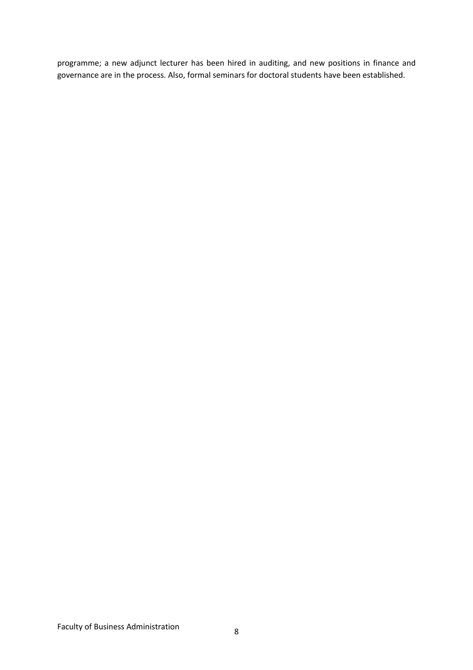programme; a new adjunct lecturer has been hired in auditing, and new positions in finance and governance are in the process. Also, formal seminars for doctoral students have been established.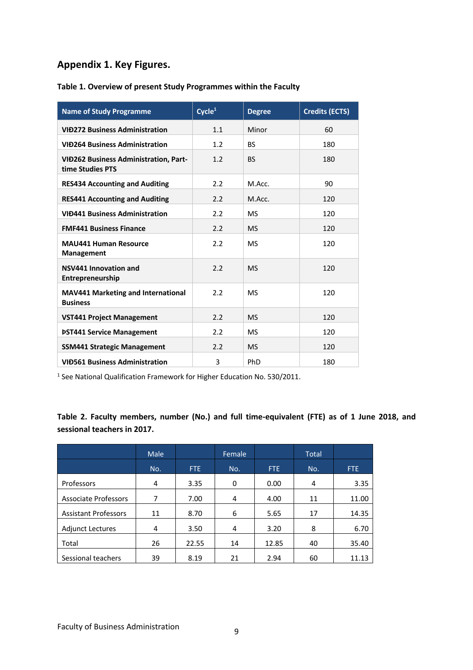#### **Appendix 1. Key Figures.**

| <b>Name of Study Programme</b>                                   | $\overline{\text{Cycle}^1}$ | <b>Degree</b> | <b>Credits (ECTS)</b> |
|------------------------------------------------------------------|-----------------------------|---------------|-----------------------|
| <b>VID272 Business Administration</b>                            | 1.1                         | Minor         | 60                    |
| <b>VID264 Business Administration</b>                            | 1.2                         | <b>BS</b>     | 180                   |
| <b>VID262 Business Administration, Part-</b><br>time Studies PTS | 1.2                         | <b>BS</b>     | 180                   |
| <b>RES434 Accounting and Auditing</b>                            | 2.2                         | M.Acc.        | 90                    |
| <b>RES441 Accounting and Auditing</b>                            | 2.2                         | M.Acc.        | 120                   |
| <b>VIĐ441 Business Administration</b>                            | 2.2                         | <b>MS</b>     | 120                   |
| <b>FMF441 Business Finance</b>                                   | 2.2                         | <b>MS</b>     | 120                   |
| <b>MAU441 Human Resource</b><br>Management                       | 2.2                         | <b>MS</b>     | 120                   |
| NSV441 Innovation and<br>Entrepreneurship                        | 2.2                         | <b>MS</b>     | 120                   |
| <b>MAV441 Marketing and International</b><br><b>Business</b>     | 2.2                         | <b>MS</b>     | 120                   |
| <b>VST441 Project Management</b>                                 | 2.2                         | <b>MS</b>     | 120                   |
| <b>PST441 Service Management</b>                                 | 2.2                         | MS            | 120                   |
| <b>SSM441 Strategic Management</b>                               | 2.2                         | <b>MS</b>     | 120                   |
| <b>VID561 Business Administration</b>                            | 3                           | <b>PhD</b>    | 180                   |

#### **Table 1. Overview of present Study Programmes within the Faculty**

<sup>1</sup> See National Qualification Framework for Higher Education No. 530/2011.

**Table 2. Faculty members, number (No.) and full time-equivalent (FTE) as of 1 June 2018, and sessional teachers in 2017.**

|                             | Male |       | Female |       | <b>Total</b> |       |
|-----------------------------|------|-------|--------|-------|--------------|-------|
|                             | No.  | FTE.  | No.    | FTE.  | No.          | FTE.  |
| Professors                  | 4    | 3.35  | 0      | 0.00  | 4            | 3.35  |
| <b>Associate Professors</b> | 7    | 7.00  | 4      | 4.00  | 11           | 11.00 |
| <b>Assistant Professors</b> | 11   | 8.70  | 6      | 5.65  | 17           | 14.35 |
| <b>Adjunct Lectures</b>     | 4    | 3.50  | 4      | 3.20  | 8            | 6.70  |
| Total                       | 26   | 22.55 | 14     | 12.85 | 40           | 35.40 |
| Sessional teachers          | 39   | 8.19  | 21     | 2.94  | 60           | 11.13 |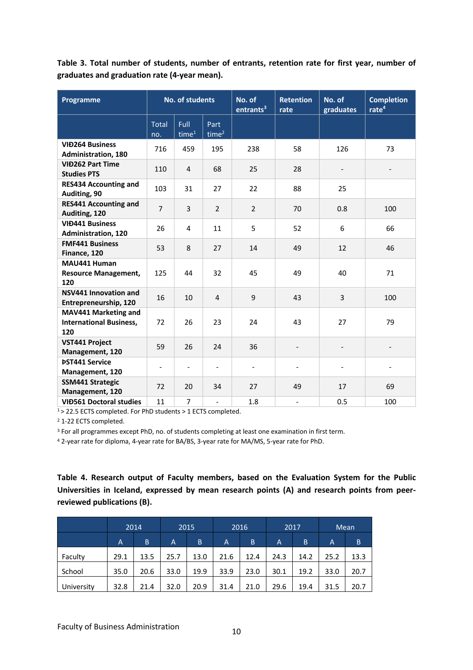**Table 3. Total number of students, number of entrants, retention rate for first year, number of graduates and graduation rate (4-year mean).**

| Programme                                                            |                          | <b>No. of students</b>           |                          | No. of<br>entrants <sup>3</sup> | <b>Retention</b><br>rate | No. of<br>graduates      | <b>Completion</b><br>rate <sup>4</sup> |
|----------------------------------------------------------------------|--------------------------|----------------------------------|--------------------------|---------------------------------|--------------------------|--------------------------|----------------------------------------|
|                                                                      | <b>Total</b><br>no.      | <b>Full</b><br>time <sup>1</sup> | Part<br>time $2$         |                                 |                          |                          |                                        |
| <b>VIĐ264 Business</b><br><b>Administration, 180</b>                 | 716                      | 459                              | 195                      | 238                             | 58                       | 126                      | 73                                     |
| <b>VIĐ262 Part Time</b><br><b>Studies PTS</b>                        | 110                      | $\overline{4}$                   | 68                       | 25                              | 28                       | $\overline{\phantom{0}}$ | $\overline{\phantom{0}}$               |
| <b>RES434 Accounting and</b><br>Auditing, 90                         | 103                      | 31                               | 27                       | 22                              | 88                       | 25                       |                                        |
| <b>RES441 Accounting and</b><br>Auditing, 120                        | $\overline{7}$           | 3                                | $\overline{2}$           | $\overline{2}$                  | 70                       | 0.8                      | 100                                    |
| <b>VIĐ441 Business</b><br><b>Administration, 120</b>                 | 26                       | 4                                | 11                       | 5                               | 52                       | 6                        | 66                                     |
| <b>FMF441 Business</b><br>Finance, 120                               | 53                       | 8                                | 27                       | 14                              | 49                       | 12                       | 46                                     |
| MAU441 Human<br><b>Resource Management,</b><br>120                   | 125                      | 44                               | 32                       | 45                              | 49                       | 40                       | 71                                     |
| <b>NSV441 Innovation and</b><br>Entrepreneurship, 120                | 16                       | 10                               | $\overline{4}$           | 9                               | 43                       | 3                        | 100                                    |
| <b>MAV441 Marketing and</b><br><b>International Business,</b><br>120 | 72                       | 26                               | 23                       | 24                              | 43                       | 27                       | 79                                     |
| <b>VST441 Project</b><br>Management, 120                             | 59                       | 26                               | 24                       | 36                              | $\qquad \qquad -$        | $\overline{\phantom{a}}$ | $\qquad \qquad -$                      |
| <b>ÞST441 Service</b><br>Management, 120                             | $\overline{\phantom{a}}$ | $\blacksquare$                   | $\blacksquare$           | $\blacksquare$                  |                          |                          | ٠                                      |
| <b>SSM441 Strategic</b><br>Management, 120                           | 72                       | 20                               | 34                       | 27                              | 49                       | 17                       | 69                                     |
| <b>VIĐ561 Doctoral studies</b>                                       | 11                       | 7                                | $\overline{\phantom{0}}$ | 1.8                             | $\overline{\phantom{0}}$ | 0.5                      | 100                                    |

 $1$  > 22.5 ECTS completed. For PhD students > 1 ECTS completed.

<sup>2</sup> 1-22 ECTS completed.

<sup>3</sup> For all programmes except PhD, no. of students completing at least one examination in first term.

<sup>4</sup> 2-year rate for diploma, 4-year rate for BA/BS, 3-year rate for MA/MS, 5-year rate for PhD.

**Table 4. Research output of Faculty members, based on the Evaluation System for the Public Universities in Iceland, expressed by mean research points (A) and research points from peerreviewed publications (B).**

|            |      | 2014 |      | 2015 |      | 2016 |                | 2017 | Mean |      |
|------------|------|------|------|------|------|------|----------------|------|------|------|
|            | A    | B    | A    | B    | A    | B    | $\overline{A}$ | B    | A    | B    |
| Faculty    | 29.1 | 13.5 | 25.7 | 13.0 | 21.6 | 12.4 | 24.3           | 14.2 | 25.2 | 13.3 |
| School     | 35.0 | 20.6 | 33.0 | 19.9 | 33.9 | 23.0 | 30.1           | 19.2 | 33.0 | 20.7 |
| University | 32.8 | 21.4 | 32.0 | 20.9 | 31.4 | 21.0 | 29.6           | 19.4 | 31.5 | 20.7 |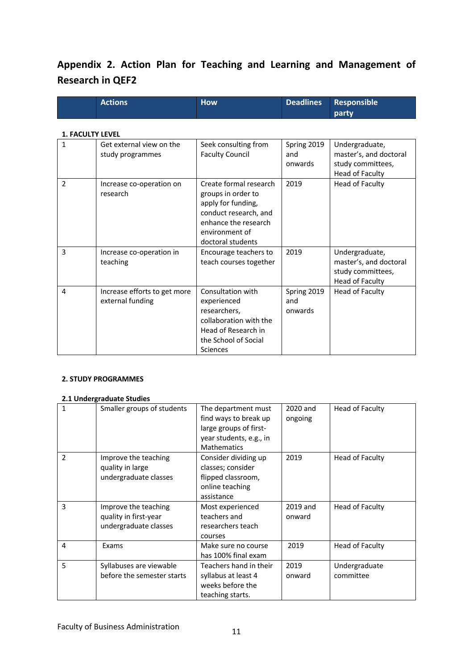### **Appendix 2. Action Plan for Teaching and Learning and Management of Research in QEF2**

| <b>Actions</b> | <b>How</b> |  | Deadlines Responsible<br><b>party</b> |  |
|----------------|------------|--|---------------------------------------|--|
|----------------|------------|--|---------------------------------------|--|

#### **1. FACULTY LEVEL**

| $\mathbf{1}$ | Get external view on the<br>study programmes     | Seek consulting from<br><b>Faculty Council</b>                                                                                                             | Spring 2019<br>and<br>onwards | Undergraduate,<br>master's, and doctoral<br>study committees,<br>Head of Faculty |
|--------------|--------------------------------------------------|------------------------------------------------------------------------------------------------------------------------------------------------------------|-------------------------------|----------------------------------------------------------------------------------|
| 2            | Increase co-operation on<br>research             | Create formal research<br>groups in order to<br>apply for funding,<br>conduct research, and<br>enhance the research<br>environment of<br>doctoral students | 2019                          | Head of Faculty                                                                  |
| 3            | Increase co-operation in<br>teaching             | Encourage teachers to<br>teach courses together                                                                                                            | 2019                          | Undergraduate,<br>master's, and doctoral<br>study committees,<br>Head of Faculty |
| 4            | Increase efforts to get more<br>external funding | Consultation with<br>experienced<br>researchers,<br>collaboration with the<br>Head of Research in<br>the School of Social<br><b>Sciences</b>               | Spring 2019<br>and<br>onwards | Head of Faculty                                                                  |

#### **2. STUDY PROGRAMMES**

#### **2.1 Undergraduate Studies**

| 1 | Smaller groups of students                                             | The department must<br>find ways to break up<br>large groups of first-<br>year students, e.g., in<br><b>Mathematics</b> | 2020 and<br>ongoing | Head of Faculty            |
|---|------------------------------------------------------------------------|-------------------------------------------------------------------------------------------------------------------------|---------------------|----------------------------|
| 2 | Improve the teaching<br>quality in large<br>undergraduate classes      | Consider dividing up<br>classes; consider<br>flipped classroom,<br>online teaching<br>assistance                        | 2019                | Head of Faculty            |
| 3 | Improve the teaching<br>quality in first-year<br>undergraduate classes | Most experienced<br>teachers and<br>researchers teach<br>courses                                                        | 2019 and<br>onward  | Head of Faculty            |
| 4 | Exams                                                                  | Make sure no course<br>has 100% final exam                                                                              | 2019                | Head of Faculty            |
| 5 | Syllabuses are viewable<br>before the semester starts                  | Teachers hand in their<br>syllabus at least 4<br>weeks before the<br>teaching starts.                                   | 2019<br>onward      | Undergraduate<br>committee |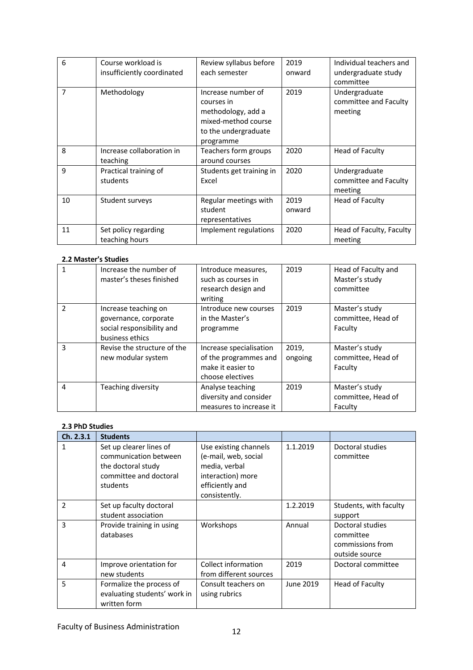| 6              | Course workload is<br>insufficiently coordinated | Review syllabus before<br>each semester                                                                            | 2019<br>onward | Individual teachers and<br>undergraduate study<br>committee |
|----------------|--------------------------------------------------|--------------------------------------------------------------------------------------------------------------------|----------------|-------------------------------------------------------------|
| $\overline{7}$ | Methodology                                      | Increase number of<br>courses in<br>methodology, add a<br>mixed-method course<br>to the undergraduate<br>programme | 2019           | Undergraduate<br>committee and Faculty<br>meeting           |
| 8              | Increase collaboration in<br>teaching            | Teachers form groups<br>around courses                                                                             | 2020           | Head of Faculty                                             |
| 9              | Practical training of<br>students                | Students get training in<br>Excel                                                                                  | 2020           | Undergraduate<br>committee and Faculty<br>meeting           |
| 10             | Student surveys                                  | Regular meetings with<br>student<br>representatives                                                                | 2019<br>onward | Head of Faculty                                             |
| 11             | Set policy regarding<br>teaching hours           | Implement regulations                                                                                              | 2020           | Head of Faculty, Faculty<br>meeting                         |

#### **2.2 Master's Studies**

|                | Increase the number of<br>master's theses finished                                            | Introduce measures,<br>such as courses in<br>research design and<br>writing               | 2019             | Head of Faculty and<br>Master's study<br>committee |
|----------------|-----------------------------------------------------------------------------------------------|-------------------------------------------------------------------------------------------|------------------|----------------------------------------------------|
| $\mathfrak{p}$ | Increase teaching on<br>governance, corporate<br>social responsibility and<br>business ethics | Introduce new courses<br>in the Master's<br>programme                                     | 2019             | Master's study<br>committee, Head of<br>Faculty    |
| 3              | Revise the structure of the<br>new modular system                                             | Increase specialisation<br>of the programmes and<br>make it easier to<br>choose electives | 2019,<br>ongoing | Master's study<br>committee, Head of<br>Faculty    |
| 4              | Teaching diversity                                                                            | Analyse teaching<br>diversity and consider<br>measures to increase it                     | 2019             | Master's study<br>committee, Head of<br>Faculty    |

#### **2.3 PhD Studies**

| Ch. 2.3.1     | <b>Students</b>                                                                                              |                                                                                                                         |           |                                                                     |
|---------------|--------------------------------------------------------------------------------------------------------------|-------------------------------------------------------------------------------------------------------------------------|-----------|---------------------------------------------------------------------|
| 1             | Set up clearer lines of<br>communication between<br>the doctoral study<br>committee and doctoral<br>students | Use existing channels<br>(e-mail, web, social<br>media, verbal<br>interaction) more<br>efficiently and<br>consistently. | 1.1.2019  | Doctoral studies<br>committee                                       |
| $\mathfrak z$ | Set up faculty doctoral<br>student association                                                               |                                                                                                                         | 1.2.2019  | Students, with faculty<br>support                                   |
| 3             | Provide training in using<br>databases                                                                       | Workshops                                                                                                               | Annual    | Doctoral studies<br>committee<br>commissions from<br>outside source |
| 4             | Improve orientation for<br>new students                                                                      | Collect information<br>from different sources                                                                           | 2019      | Doctoral committee                                                  |
| 5             | Formalize the process of<br>evaluating students' work in<br>written form                                     | Consult teachers on<br>using rubrics                                                                                    | June 2019 | Head of Faculty                                                     |